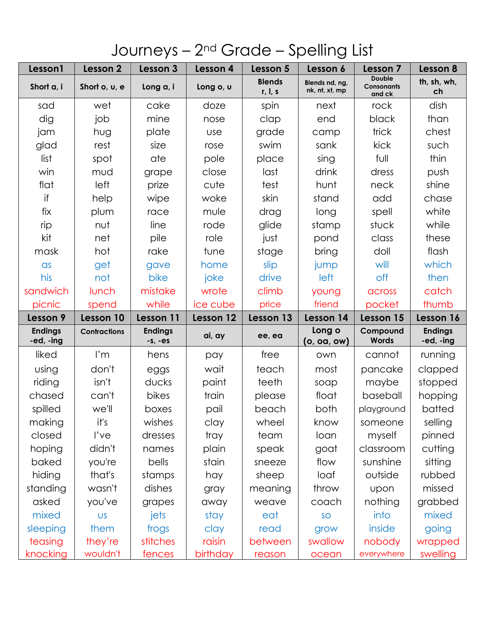## Journeys - 2<sup>nd</sup> Grade - Spelling List

| Lesson1                     | Lesson 2            | Lesson 3                    | Lesson 4   | Lesson 5                 | Lesson 6                         | Lesson 7                              | Lesson 8                    |
|-----------------------------|---------------------|-----------------------------|------------|--------------------------|----------------------------------|---------------------------------------|-----------------------------|
| Short a, i                  | Short o, u, e       | Long a, i                   | Long o, u  | <b>Blends</b><br>r, I, s | Blends nd, ng,<br>nk, nt, xt, mp | <b>Double</b><br>Consonants<br>and ck | th, sh, wh,<br>ch           |
| sad                         | wet                 | cake                        | doze       | spin                     | next                             | rock                                  | dish                        |
| dig                         | job                 | mine                        | nose       | clap                     | end                              | black                                 | than                        |
| jam                         | hug                 | plate                       | <b>use</b> | grade                    | camp                             | trick                                 | chest                       |
| glad                        | rest                | size                        | rose       | swim                     | sank                             | kick                                  | such                        |
| list                        | spot                | ate                         | pole       | place                    | sing                             | full                                  | thin                        |
| win                         | mud                 | grape                       | close      | last                     | drink                            | dress                                 | push                        |
| flat                        | left                | prize                       | cute       | test                     | hunt                             | neck                                  | shine                       |
| if                          | help                | wipe                        | woke       | skin                     | stand                            | add                                   | chase                       |
| fix                         | plum                | race                        | mule       | drag                     | long                             | spell                                 | white                       |
| rip                         | nut                 | line                        | rode       | glide                    | stamp                            | stuck                                 | while                       |
| kit                         | net                 | pile                        | role       | just                     | pond                             | class                                 | these                       |
| mask                        | hot                 | rake                        | tune       | stage                    | bring                            | doll                                  | flash                       |
| $\alpha$ s                  | get                 | gave                        | home       | slip                     | jump                             | will                                  | which                       |
| his                         | not                 | bike                        | joke       | drive                    | left                             | off                                   | then                        |
| sandwich                    | lunch               | mistake                     | wrote      | climb                    | young                            | across                                | catch                       |
| picnic                      | spend               | while                       | ice cube   | price                    | friend                           | pocket                                | thumb                       |
|                             |                     |                             |            |                          |                                  |                                       |                             |
| Lesson 9                    | Lesson 10           | Lesson 11                   | Lesson 12  | Lesson 13                | Lesson 14                        | Lesson 15                             | Lesson 16                   |
| <b>Endings</b><br>-ed, -ing | <b>Contractions</b> | <b>Endings</b><br>$-S, -ES$ | ai, ay     | ee, ea                   | Long o<br>(o, oa, ow)            | Compound<br><b>Words</b>              | <b>Endings</b><br>-ed, -ing |
| liked                       | $\mathsf{I}'$ m     | hens                        | pay        | free                     | own                              | cannot                                | running                     |
| using                       | don't               | eggs                        | wait       | teach                    | most                             | pancake                               | clapped                     |
| riding                      | isn't               | ducks                       | paint      | teeth                    | soap                             | maybe                                 | stopped                     |
| chased                      | can't               | bikes                       | train      | please                   | float                            | baseball                              | hopping                     |
| spilled                     | we'll               | boxes                       | pail       | beach                    | both                             | playground                            | batted                      |
| making                      | it's                | wishes                      | clay       | wheel                    | know                             | someone                               | selling                     |
| closed                      | l've                | dresses                     | tray       | team                     | loan                             | myself                                | pinned                      |
| hoping                      | didn't              | names                       | plain      | speak                    | goat                             | classroom                             | cutting                     |
| baked                       | you're              | bells                       | stain      | sneeze                   | flow                             | sunshine                              | sitting                     |
| hiding                      | that's              | stamps                      | hay        | sheep                    | loaf                             | outside                               | rubbed                      |
| standing                    | wasn't              | dishes                      | gray       | meaning                  | throw                            | upon                                  | missed                      |
| asked                       | you've              | grapes                      | away       | weave                    | coach                            | nothing                               | grabbed                     |
| mixed                       | <b>US</b>           | jets                        | stay       | eat                      | SO                               | into                                  | mixed                       |
| sleeping                    | them                | frogs                       | clay       | read                     | grow                             | inside                                | going                       |
| teasing                     | they're             | stitches                    | raisin     | between                  | swallow                          | nobody                                | wrapped                     |